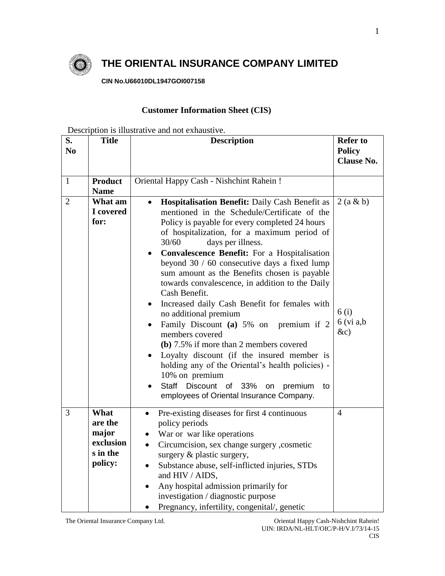

## **THE ORIENTAL INSURANCE COMPANY LIMITED**

**CIN No.U66010DL1947GOI007158**

## **Customer Information Sheet (CIS)**

Description is illustrative and not exhaustive.

| S.<br>No       | <b>Title</b>                                                 | <b>Description</b>                                                                                                                                                                                                                                                                                                                                                                                                                                                                                                                                                                                                                                                                                                                                                                                                                                                                                                              | <b>Refer to</b><br><b>Policy</b><br><b>Clause No.</b> |
|----------------|--------------------------------------------------------------|---------------------------------------------------------------------------------------------------------------------------------------------------------------------------------------------------------------------------------------------------------------------------------------------------------------------------------------------------------------------------------------------------------------------------------------------------------------------------------------------------------------------------------------------------------------------------------------------------------------------------------------------------------------------------------------------------------------------------------------------------------------------------------------------------------------------------------------------------------------------------------------------------------------------------------|-------------------------------------------------------|
| $\mathbf{1}$   | <b>Product</b><br><b>Name</b>                                | Oriental Happy Cash - Nishchint Rahein !                                                                                                                                                                                                                                                                                                                                                                                                                                                                                                                                                                                                                                                                                                                                                                                                                                                                                        |                                                       |
| $\overline{2}$ | What am<br>I covered<br>for:                                 | <b>Hospitalisation Benefit:</b> Daily Cash Benefit as<br>$\bullet$<br>mentioned in the Schedule/Certificate of the<br>Policy is payable for every completed 24 hours<br>of hospitalization, for a maximum period of<br>30/60<br>days per illness.<br><b>Convalescence Benefit:</b> For a Hospitalisation<br>$\bullet$<br>beyond 30 / 60 consecutive days a fixed lump<br>sum amount as the Benefits chosen is payable<br>towards convalescence, in addition to the Daily<br>Cash Benefit.<br>Increased daily Cash Benefit for females with<br>no additional premium<br>Family Discount (a) 5% on premium if 2<br>$\bullet$<br>members covered<br>(b) 7.5% if more than 2 members covered<br>Loyalty discount (if the insured member is<br>$\bullet$<br>holding any of the Oriental's health policies) -<br>10% on premium<br><b>Staff</b><br>Discount of 33%<br>premium<br>on<br>to<br>employees of Oriental Insurance Company. | 2(a & b)<br>6(i)<br>$6$ (vi a,b)<br>$\&c)$            |
| $\overline{3}$ | What<br>are the<br>major<br>exclusion<br>s in the<br>policy: | Pre-existing diseases for first 4 continuous<br>$\bullet$<br>policy periods<br>War or war like operations<br>$\bullet$<br>Circumcision, sex change surgery , cosmetic<br>$\bullet$<br>surgery & plastic surgery,<br>Substance abuse, self-inflicted injuries, STDs<br>$\bullet$<br>and HIV / AIDS,<br>Any hospital admission primarily for<br>investigation / diagnostic purpose<br>Pregnancy, infertility, congenital/, genetic                                                                                                                                                                                                                                                                                                                                                                                                                                                                                                | $\overline{4}$                                        |